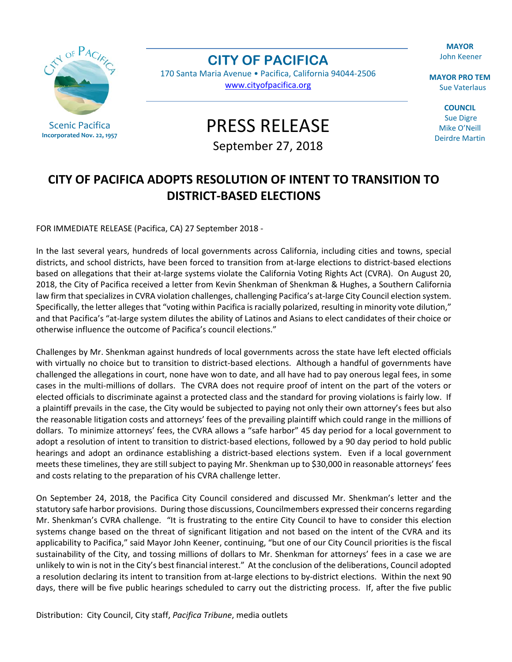**MAYOR** John Keener



Scenic Pacifica **Incorporated Nov. 22, 1957** **CITY OF PACIFICA** 

170 Santa Maria Avenue • Pacifica, California 94044-2506 www.cityofpacifica.org

PRESS RELEASE

September 27, 2018

**MAYOR PRO TEM**  Sue Vaterlaus

**COUNCIL**  Sue Digre Mike O'Neill Deirdre Martin

## **CITY OF PACIFICA ADOPTS RESOLUTION OF INTENT TO TRANSITION TO DISTRICT-BASED ELECTIONS**

FOR IMMEDIATE RELEASE (Pacifica, CA) 27 September 2018 -

In the last several years, hundreds of local governments across California, including cities and towns, special districts, and school districts, have been forced to transition from at-large elections to district-based elections based on allegations that their at-large systems violate the California Voting Rights Act (CVRA). On August 20, 2018, the City of Pacifica received a letter from Kevin Shenkman of Shenkman & Hughes, a Southern California law firm that specializes in CVRA violation challenges, challenging Pacifica's at-large City Council election system. Specifically, the letter alleges that "voting within Pacifica is racially polarized, resulting in minority vote dilution," and that Pacifica's "at-large system dilutes the ability of Latinos and Asians to elect candidates of their choice or otherwise influence the outcome of Pacifica's council elections."

Challenges by Mr. Shenkman against hundreds of local governments across the state have left elected officials with virtually no choice but to transition to district-based elections. Although a handful of governments have challenged the allegations in court, none have won to date, and all have had to pay onerous legal fees, in some cases in the multi-millions of dollars. The CVRA does not require proof of intent on the part of the voters or elected officials to discriminate against a protected class and the standard for proving violations is fairly low. If a plaintiff prevails in the case, the City would be subjected to paying not only their own attorney's fees but also the reasonable litigation costs and attorneys' fees of the prevailing plaintiff which could range in the millions of dollars. To minimize attorneys' fees, the CVRA allows a "safe harbor" 45 day period for a local government to adopt a resolution of intent to transition to district-based elections, followed by a 90 day period to hold public hearings and adopt an ordinance establishing a district-based elections system. Even if a local government meets these timelines, they are still subject to paying Mr. Shenkman up to \$30,000 in reasonable attorneys' fees and costs relating to the preparation of his CVRA challenge letter.

On September 24, 2018, the Pacifica City Council considered and discussed Mr. Shenkman's letter and the statutory safe harbor provisions. During those discussions, Councilmembers expressed their concerns regarding Mr. Shenkman's CVRA challenge. "It is frustrating to the entire City Council to have to consider this election systems change based on the threat of significant litigation and not based on the intent of the CVRA and its applicability to Pacifica," said Mayor John Keener, continuing, "but one of our City Council priorities is the fiscal sustainability of the City, and tossing millions of dollars to Mr. Shenkman for attorneys' fees in a case we are unlikely to win is not in the City's best financial interest." At the conclusion of the deliberations, Council adopted a resolution declaring its intent to transition from at-large elections to by-district elections. Within the next 90 days, there will be five public hearings scheduled to carry out the districting process. If, after the five public